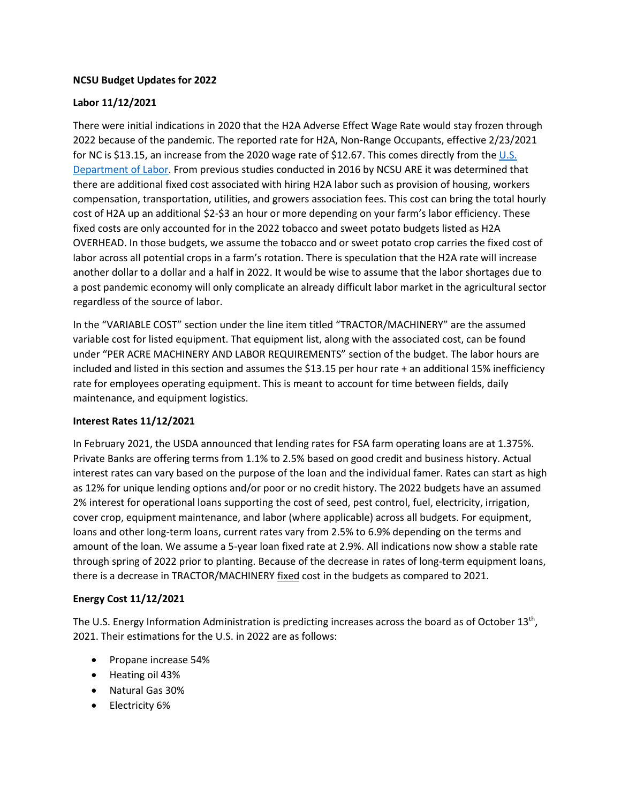### **NCSU Budget Updates for 2022**

# **Labor 11/12/2021**

There were initial indications in 2020 that the H2A Adverse Effect Wage Rate would stay frozen through 2022 because of the pandemic. The reported rate for H2A, Non-Range Occupants, effective 2/23/2021 for NC is \$13.15, an increase from the 2020 wage rate of \$12.67. This comes directly from the [U.S.](https://www.dol.gov/agencies/eta/foreign-labor/wages/adverse-effect-wage-rates)  [Department of Labor.](https://www.dol.gov/agencies/eta/foreign-labor/wages/adverse-effect-wage-rates) From previous studies conducted in 2016 by NCSU ARE it was determined that there are additional fixed cost associated with hiring H2A labor such as provision of housing, workers compensation, transportation, utilities, and growers association fees. This cost can bring the total hourly cost of H2A up an additional \$2-\$3 an hour or more depending on your farm's labor efficiency. These fixed costs are only accounted for in the 2022 tobacco and sweet potato budgets listed as H2A OVERHEAD. In those budgets, we assume the tobacco and or sweet potato crop carries the fixed cost of labor across all potential crops in a farm's rotation. There is speculation that the H2A rate will increase another dollar to a dollar and a half in 2022. It would be wise to assume that the labor shortages due to a post pandemic economy will only complicate an already difficult labor market in the agricultural sector regardless of the source of labor.

In the "VARIABLE COST" section under the line item titled "TRACTOR/MACHINERY" are the assumed variable cost for listed equipment. That equipment list, along with the associated cost, can be found under "PER ACRE MACHINERY AND LABOR REQUIREMENTS" section of the budget. The labor hours are included and listed in this section and assumes the \$13.15 per hour rate + an additional 15% inefficiency rate for employees operating equipment. This is meant to account for time between fields, daily maintenance, and equipment logistics.

# **Interest Rates 11/12/2021**

In February 2021, the USDA announced that lending rates for FSA farm operating loans are at 1.375%. Private Banks are offering terms from 1.1% to 2.5% based on good credit and business history. Actual interest rates can vary based on the purpose of the loan and the individual famer. Rates can start as high as 12% for unique lending options and/or poor or no credit history. The 2022 budgets have an assumed 2% interest for operational loans supporting the cost of seed, pest control, fuel, electricity, irrigation, cover crop, equipment maintenance, and labor (where applicable) across all budgets. For equipment, loans and other long-term loans, current rates vary from 2.5% to 6.9% depending on the terms and amount of the loan. We assume a 5-year loan fixed rate at 2.9%. All indications now show a stable rate through spring of 2022 prior to planting. Because of the decrease in rates of long-term equipment loans, there is a decrease in TRACTOR/MACHINERY fixed cost in the budgets as compared to 2021.

# **Energy Cost 11/12/2021**

The U.S. Energy Information Administration is predicting increases across the board as of October 13<sup>th</sup>, 2021. Their estimations for the U.S. in 2022 are as follows:

- Propane increase 54%
- Heating oil 43%
- Natural Gas 30%
- Electricity 6%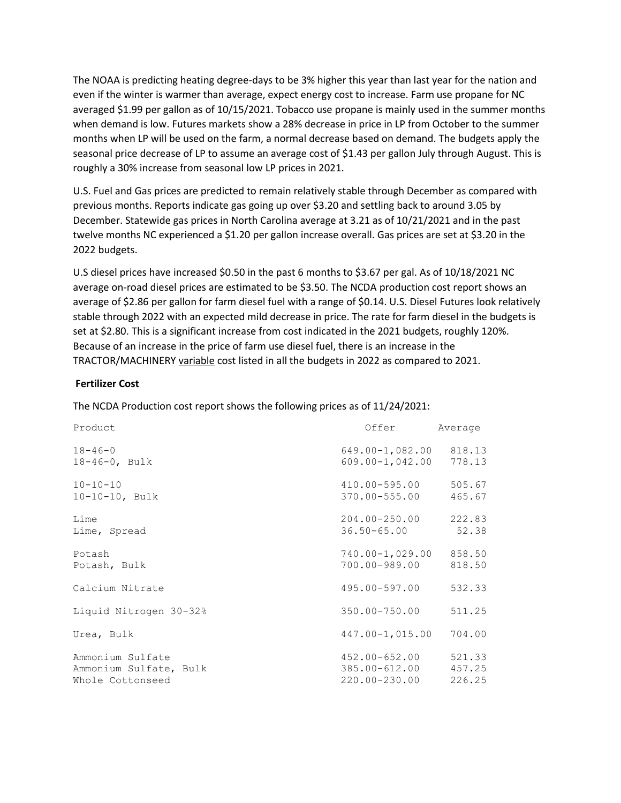The NOAA is predicting heating degree-days to be 3% higher this year than last year for the nation and even if the winter is warmer than average, expect energy cost to increase. Farm use propane for NC averaged \$1.99 per gallon as of 10/15/2021. Tobacco use propane is mainly used in the summer months when demand is low. Futures markets show a 28% decrease in price in LP from October to the summer months when LP will be used on the farm, a normal decrease based on demand. The budgets apply the seasonal price decrease of LP to assume an average cost of \$1.43 per gallon July through August. This is roughly a 30% increase from seasonal low LP prices in 2021.

U.S. Fuel and Gas prices are predicted to remain relatively stable through December as compared with previous months. Reports indicate gas going up over \$3.20 and settling back to around 3.05 by December. Statewide gas prices in North Carolina average at 3.21 as of 10/21/2021 and in the past twelve months NC experienced a \$1.20 per gallon increase overall. Gas prices are set at \$3.20 in the 2022 budgets.

U.S diesel prices have increased \$0.50 in the past 6 months to \$3.67 per gal. As of 10/18/2021 NC average on-road diesel prices are estimated to be \$3.50. The NCDA production cost report shows an average of \$2.86 per gallon for farm diesel fuel with a range of \$0.14. U.S. Diesel Futures look relatively stable through 2022 with an expected mild decrease in price. The rate for farm diesel in the budgets is set at \$2.80. This is a significant increase from cost indicated in the 2021 budgets, roughly 120%. Because of an increase in the price of farm use diesel fuel, there is an increase in the TRACTOR/MACHINERY variable cost listed in all the budgets in 2022 as compared to 2021.

### **Fertilizer Cost**

The NCDA Production cost report shows the following prices as of 11/24/2021:

| Product                                                        | Offer                                               | Average                    |
|----------------------------------------------------------------|-----------------------------------------------------|----------------------------|
| $18 - 46 - 0$<br>$18 - 46 - 0$ , Bulk                          | $649.00 - 1,082.00$<br>609.00-1,042.00              | 818.13<br>778.13           |
| $10 - 10 - 10$<br>$10-10-10$ , Bulk                            | 410.00-595.00<br>370.00-555.00                      | 505.67<br>465.67           |
| Lime<br>Lime, Spread                                           | 204.00-250.00<br>$36.50 - 65.00$                    | 222.83<br>52.38            |
| Potash<br>Potash, Bulk                                         | 740.00-1,029.00 858.50<br>700.00-989.00             | 818.50                     |
| Calcium Nitrate                                                | 495.00-597.00                                       | 532.33                     |
| Liquid Nitrogen 30-32%                                         | 350.00-750.00                                       | 511.25                     |
| Urea, Bulk                                                     | $447.00 - 1,015.00$                                 | 704.00                     |
| Ammonium Sulfate<br>Ammonium Sulfate, Bulk<br>Whole Cottonseed | $452.00 - 652.00$<br>385.00-612.00<br>220.00-230.00 | 521.33<br>457.25<br>226.25 |